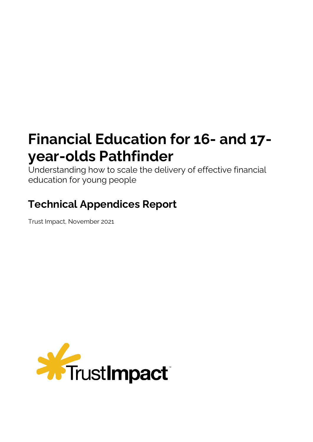# **Financial Education for 16- and 17 year-olds Pathfinder**

Understanding how to scale the delivery of effective financial education for young people

# **Technical Appendices Report**

Trust Impact, November 2021

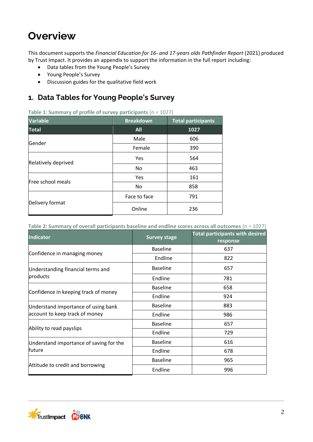## **Overview**

This document supports the *Financial Education for 16- and 17-years olds Pathfinder Report* (2021) produced by Trust Impact. It provides an appendix to support the information in the full report including:

- Data tables from the Young People's Survey
- Young People's Survey
- Discussion guides for the qualitative field work

### **1. Data Tables for Young People's Survey**

| Variable            | <b>Breakdown</b>                                                                                            | <b>Total participants</b> |  |
|---------------------|-------------------------------------------------------------------------------------------------------------|---------------------------|--|
| <b>Total</b>        | <b>All</b>                                                                                                  | 1027                      |  |
| Gender              | Male                                                                                                        | 606                       |  |
|                     | Female<br>390<br>564<br>Yes<br>No<br>463<br>161<br>Yes<br>No<br>858<br>Face to face<br>791<br>Online<br>236 |                           |  |
| Relatively deprived |                                                                                                             |                           |  |
|                     |                                                                                                             |                           |  |
|                     |                                                                                                             |                           |  |
| Free school meals   |                                                                                                             |                           |  |
|                     |                                                                                                             |                           |  |
| Delivery format     |                                                                                                             |                           |  |

**Table 1: Summary of profile of survey participants** (n = 1027) 

**Table 2: Summary of overall participants baseline and endline scores across all outcomes** (n = 1027) 

| <b>Indicator</b>                        | <b>Survey stage</b> | <b>Total participants with desired</b><br>response |
|-----------------------------------------|---------------------|----------------------------------------------------|
|                                         | <b>Baseline</b>     | 637                                                |
| Confidence in managing money            | Endline             | 822                                                |
| Understanding financial terms and       | <b>Baseline</b>     | 657                                                |
| products                                | Endline             | 781                                                |
| Confidence in keeping track of money    | <b>Baseline</b>     | 658                                                |
|                                         | Endline             | 924                                                |
| Understand importance of using bank     | <b>Baseline</b>     | 883                                                |
| account to keep track of money          | Endline             | 986                                                |
|                                         | <b>Baseline</b>     | 657                                                |
| Ability to read payslips                | Endline             | 729                                                |
| Understand importance of saving for the | <b>Baseline</b>     | 616                                                |
| future                                  | Endline             | 678                                                |
|                                         | <b>Baseline</b>     | 965                                                |
| Attitude to credit and borrowing        | Endline             | 996                                                |

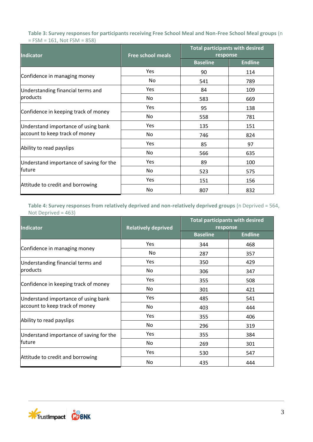**Table 3: Survey responses for participants receiving Free School Meal and Non-Free School Meal groups** (n = FSM = 161, Not FSM = 858)

| <b>Indicator</b>                                                      | <b>Free school meals</b> | <b>Total participants with desired</b><br>response |                |  |
|-----------------------------------------------------------------------|--------------------------|----------------------------------------------------|----------------|--|
|                                                                       |                          | <b>Baseline</b>                                    | <b>Endline</b> |  |
| Confidence in managing money                                          | Yes                      | 90                                                 | 114            |  |
|                                                                       | No                       | 541                                                | 789            |  |
| Understanding financial terms and                                     | <b>Yes</b>               | 84                                                 | 109            |  |
| products                                                              | No                       | 583                                                | 669            |  |
| Confidence in keeping track of money                                  | Yes                      | 95                                                 | 138            |  |
|                                                                       | No                       | 558                                                | 781            |  |
| Understand importance of using bank<br>account to keep track of money | Yes                      | 135                                                | 151            |  |
|                                                                       | No                       | 746                                                | 824            |  |
| Ability to read payslips                                              | Yes                      | 85                                                 | 97             |  |
|                                                                       | No                       | 566                                                | 635            |  |
| Understand importance of saving for the                               | <b>Yes</b>               | 89                                                 | 100            |  |
| future                                                                | No                       | 523                                                | 575            |  |
|                                                                       | Yes                      | 151                                                | 156            |  |
| Attitude to credit and borrowing                                      | No                       | 807                                                | 832            |  |

**Table 4: Survey responses from relatively deprived and non-relatively deprived groups** (n Deprived = 564, Not Deprived = 463)

| . <i>.</i><br><b>Indicator</b>                                        | <b>Relatively deprived</b> | <b>Total participants with desired</b><br>response |                |  |
|-----------------------------------------------------------------------|----------------------------|----------------------------------------------------|----------------|--|
|                                                                       |                            | <b>Baseline</b>                                    | <b>Endline</b> |  |
|                                                                       | Yes                        | 344                                                | 468            |  |
| Confidence in managing money                                          | No.                        | 287                                                | 357            |  |
| Understanding financial terms and                                     | Yes                        | 350                                                | 429            |  |
| products                                                              | No                         | 306                                                | 347            |  |
| Confidence in keeping track of money                                  | Yes                        | 355                                                | 508            |  |
|                                                                       | No                         | 301                                                | 421            |  |
| Understand importance of using bank<br>account to keep track of money | Yes                        | 485                                                | 541            |  |
|                                                                       | No                         | 403                                                | 444            |  |
| Ability to read payslips                                              | Yes                        | 355                                                | 406            |  |
|                                                                       | No                         | 296                                                | 319            |  |
| Understand importance of saving for the<br>future                     | Yes                        | 355                                                | 384            |  |
|                                                                       | No                         | 269                                                | 301            |  |
|                                                                       | Yes                        | 530                                                | 547            |  |
| Attitude to credit and borrowing                                      | No                         | 435                                                | 444            |  |

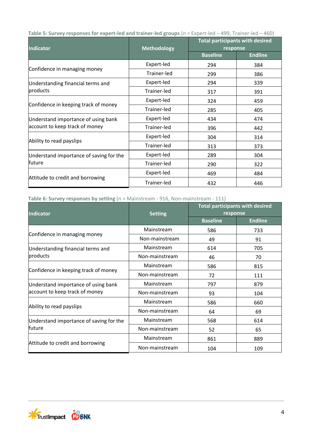|  | Table 5: Survey responses for expert-led and trainer-led groups ( $n =$ Expert-led $-$ 499, Trainer-led $-$ 460) |  |  |
|--|------------------------------------------------------------------------------------------------------------------|--|--|
|--|------------------------------------------------------------------------------------------------------------------|--|--|

| <b>Indicator</b>                                                      | <b>Methodology</b> | <b>Total participants with desired</b><br>response |                |  |
|-----------------------------------------------------------------------|--------------------|----------------------------------------------------|----------------|--|
|                                                                       |                    | <b>Baseline</b>                                    | <b>Endline</b> |  |
|                                                                       | Expert-led         | 294                                                | 384            |  |
| Confidence in managing money                                          | Trainer-led        | 299                                                | 386            |  |
| Understanding financial terms and                                     | Expert-led         | 294                                                | 339            |  |
| products                                                              | Trainer-led        | 317                                                | 391            |  |
| Confidence in keeping track of money                                  | Expert-led         | 324                                                | 459            |  |
|                                                                       | Trainer-led        | 285                                                | 405            |  |
| Understand importance of using bank<br>account to keep track of money | Expert-led         | 434                                                | 474            |  |
|                                                                       | Trainer-led        | 396                                                | 442            |  |
| Ability to read payslips                                              | Expert-led         | 304                                                | 314            |  |
|                                                                       | Trainer-led        | 313                                                | 373            |  |
| Understand importance of saving for the                               | Expert-led         | 289                                                | 304            |  |
| future                                                                | Trainer-led        | 290                                                | 322            |  |
|                                                                       | Expert-led         | 469                                                | 484            |  |
| Attitude to credit and borrowing                                      | Trainer-led        | 432                                                | 446            |  |

**Table 6: Survey responses by setting** (n = Mainstream - 916, Non-mainstream - 111)

| <b>Indicator</b>                                                      | <b>Setting</b> | <b>Total participants with desired</b><br>response |                |  |
|-----------------------------------------------------------------------|----------------|----------------------------------------------------|----------------|--|
|                                                                       |                | <b>Baseline</b>                                    | <b>Endline</b> |  |
|                                                                       | Mainstream     | 586                                                | 733            |  |
| Confidence in managing money                                          | Non-mainstream | 49                                                 | 91             |  |
| Understanding financial terms and                                     | Mainstream     | 614                                                | 705            |  |
| products                                                              | Non-mainstream | 46                                                 | 70             |  |
| Confidence in keeping track of money                                  | Mainstream     | 586                                                | 815            |  |
|                                                                       | Non-mainstream | 72                                                 | 111            |  |
| Understand importance of using bank<br>account to keep track of money | Mainstream     | 797                                                | 879            |  |
|                                                                       | Non-mainstream | 93                                                 | 104            |  |
| Ability to read payslips                                              | Mainstream     | 586                                                | 660            |  |
|                                                                       | Non-mainstream | 64                                                 | 69             |  |
| Understand importance of saving for the                               | Mainstream     | 568                                                | 614            |  |
| future                                                                | Non-mainstream | 52                                                 | 65             |  |
|                                                                       | Mainstream     | 861                                                | 889            |  |
| Attitude to credit and borrowing                                      | Non-mainstream | 104                                                | 109            |  |

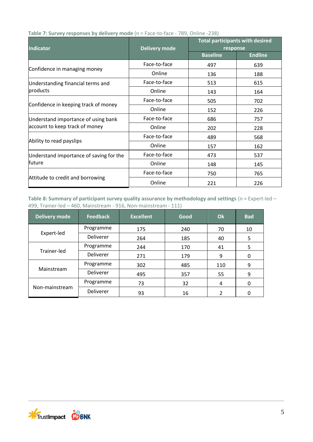| <b>Indicator</b>                                                      | <b>Delivery mode</b> | <b>Total participants with desired</b><br>response |                |  |
|-----------------------------------------------------------------------|----------------------|----------------------------------------------------|----------------|--|
|                                                                       |                      | <b>Baseline</b>                                    | <b>Endline</b> |  |
|                                                                       | Face-to-face         | 497                                                | 639            |  |
| Confidence in managing money                                          | Online               | 136                                                | 188            |  |
| Understanding financial terms and                                     | Face-to-face         | 513                                                | 615            |  |
| products                                                              | Online               | 143                                                | 164            |  |
| Confidence in keeping track of money                                  | Face-to-face         | 505                                                | 702            |  |
|                                                                       | Online               | 152                                                | 226            |  |
| Understand importance of using bank<br>account to keep track of money | Face-to-face         | 686                                                | 757            |  |
|                                                                       | Online               | 202                                                | 228            |  |
|                                                                       | Face-to-face         | 489                                                | 568            |  |
| Ability to read payslips                                              | Online               | 157                                                | 162            |  |
| Understand importance of saving for the                               | Face-to-face         | 473                                                | 537            |  |
| future                                                                | Online               | 148                                                | 145            |  |
|                                                                       | Face-to-face         | 750                                                | 765            |  |
| Attitude to credit and borrowing                                      | Online               | 221                                                | 226            |  |

#### **Table 7: Survey responses by delivery mode** (n = Face-to-face - 789, Online -238)

**Table 8: Summary of participant survey quality assurance by methodology and settings** (n = Expert-led – 499, Trainer-led – 460, Mainstream - 916, Non-mainstream - 111)

| <b>Delivery mode</b> | <b>Feedback</b> | <b>Excellent</b> | Good | Ok            | <b>Bad</b> |
|----------------------|-----------------|------------------|------|---------------|------------|
|                      | Programme       | 175              | 240  | 70            | 10         |
| Expert-led           | Deliverer       | 264              | 185  | 40            | 5          |
| Trainer-led          | Programme       | 244              | 170  | 41            | 5          |
|                      | Deliverer       | 271              | 179  | 9             | 0          |
| Mainstream           | Programme       | 302              | 485  | 110           | 9          |
|                      | Deliverer       | 495              | 357  | 55            | 9          |
| Non-mainstream       | Programme       | 73               | 32   | 4             | 0          |
|                      | Deliverer       | 93               | 16   | $\mathcal{P}$ | 0          |

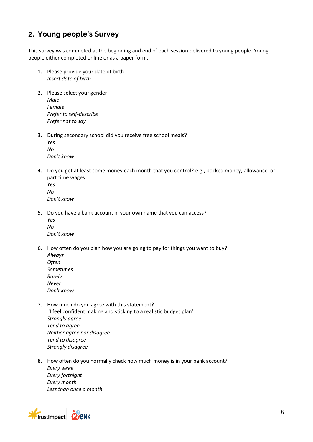### **2. Young people's Survey**

This survey was completed at the beginning and end of each session delivered to young people. Young people either completed online or as a paper form.

- 1. Please provide your date of birth *Insert date of birth*
- 2. Please select your gender *Male Female Prefer to self-describe Prefer not to say*
- 3. During secondary school did you receive free school meals? *Yes No Don't know*
- 4. Do you get at least some money each month that you control? e.g., pocked money, allowance, or part time wages *Yes*
	- *No Don't know*
- 5. Do you have a bank account in your own name that you can access? *Yes No Don't know*
- 6. How often do you plan how you are going to pay for things you want to buy? *Always Often Sometimes Rarely Never Don't know*
- 7. How much do you agree with this statement? 'I feel confident making and sticking to a realistic budget plan' *Strongly agree Tend to agree Neither agree nor disagree Tend to disagree Strongly disagree*
- 8. How often do you normally check how much money is in your bank account? *Every week Every fortnight Every month Less than once a month*

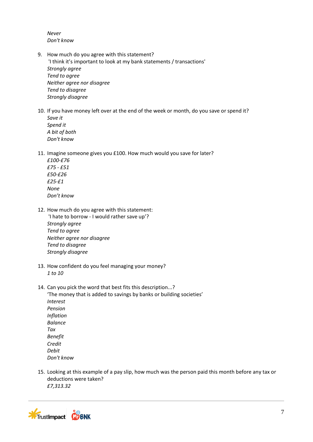*Never Don't know*

- 9. How much do you agree with this statement? 'I think it's important to look at my bank statements / transactions' *Strongly agree Tend to agree Neither agree nor disagree Tend to disagree Strongly disagree*
- 10. If you have money left over at the end of the week or month, do you save or spend it? *Save it Spend it A bit of both Don't know*
- 11. Imagine someone gives you £100. How much would you save for later?
	- *£100-£76 £75 - £51 £50-£26 £25-£1 None Don't know*
- 12. How much do you agree with this statement: 'I hate to borrow - I would rather save up'? *Strongly agree Tend to agree*
	- *Neither agree nor disagree Tend to disagree Strongly disagree*
- 13. How confident do you feel managing your money? *1 to 10*
- 14. Can you pick the word that best fits this description...?
	- 'The money that is added to savings by banks or building societies' *Interest Pension Inflation Balance Tax Benefit Credit Debit Don't know*
- 15. Looking at this example of a pay slip, how much was the person paid this month before any tax or deductions were taken? *£7,313.32*

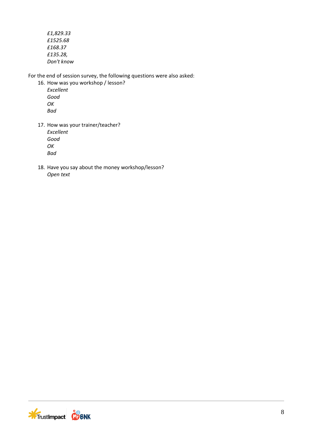*£1,829.33 £1525.68 £168.37 £135.28, Don't know*

For the end of session survey, the following questions were also asked:

- 16. How was you workshop / lesson? *Excellent Good OK*
	- *Bad*
- 17. How was your trainer/teacher? *Excellent Good OK Bad*
- 18. Have you say about the money workshop/lesson? *Open text*

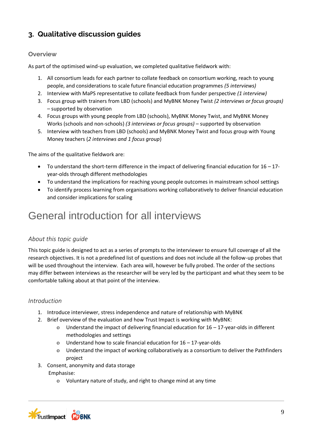### **3. Qualitative discussion guides**

#### **Overview**

As part of the optimised wind-up evaluation, we completed qualitative fieldwork with:

- 1. All consortium leads for each partner to collate feedback on consortium working, reach to young people, and considerations to scale future financial education programmes *(5 interviews)*
- 2. Interview with MaPS representative to collate feedback from funder perspective *(1 interview)*
- 3. Focus group with trainers from LBD (schools) and MyBNK Money Twist *(2 interviews or focus groups)* – supported by observation
- 4. Focus groups with young people from LBD (schools), MyBNK Money Twist, and MyBNK Money Works (schools and non-schools) *(3 interviews or focus groups)* – supported by observation
- 5. Interview with teachers from LBD (schools) and MyBNK Money Twist and focus group with Young Money teachers (*2 interviews and 1 focus group*)

The aims of the qualitative fieldwork are:

- To understand the short-term difference in the impact of delivering financial education for  $16 17$ year-olds through different methodologies
- To understand the implications for reaching young people outcomes in mainstream school settings
- To identify process learning from organisations working collaboratively to deliver financial education and consider implications for scaling

### General introduction for all interviews

#### *About this topic guide*

This topic guide is designed to act as a series of prompts to the interviewer to ensure full coverage of all the research objectives. It is not a predefined list of questions and does not include all the follow-up probes that will be used throughout the interview. Each area will, however be fully probed. The order of the sections may differ between interviews as the researcher will be very led by the participant and what they seem to be comfortable talking about at that point of the interview.

#### *Introduction*

- 1. Introduce interviewer, stress independence and nature of relationship with MyBNK
- 2. Brief overview of the evaluation and how Trust Impact is working with MyBNK:
	- o Understand the impact of delivering financial education for 16 17-year-olds in different methodologies and settings
	- o Understand how to scale financial education for  $16 17$ -year-olds
	- o Understand the impact of working collaboratively as a consortium to deliver the Pathfinders project
- 3. Consent, anonymity and data storage

Emphasise:

o Voluntary nature of study, and right to change mind at any time

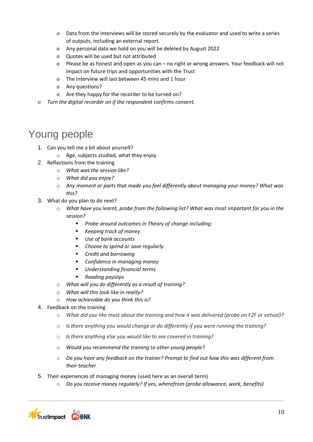- o Data from the interviews will be stored securely by the evaluator and used to write a series of outputs, including an external report.
- o Any personal data we hold on you will be deleted by August 2022
- o Quotes will be used but not attributed
- o Please be as honest and open as you can no right or wrong answers. Your feedback will not impact on future trips and opportunities with the Trust
- o The interview will last between 45 mins and 1 hour
- o Any questions?
- o Are they happy for the recorder to be turned on?
- o *Turn the digital recorder on if the respondent confirms consent.*

### Young people

- 1. Can you tell me a bit about yourself?
	- o Age, subjects studied, what they enjoy
- 2. Reflections from the training
	- o *What was the session like?*
	- o *What did you enjoy?*
	- o *Any moment or parts that made you feel differently about managing your money? What was this?*
- 3. What do you plan to do next?
	- o *What have you learnt, probe from the following list? What was most important for you in the session?* 
		- *Probe around outcomes in Theory of change including:*
		- *Keeping track of money*
		- *Use of bank accounts*
		- *Choose to spend or save regularly*
		- *Credit and borrowing*
		- *Confidence in managing money*
		- *Understanding financial terms*
		- *Reading payslips*
	- o *What will you do differently as a result of training?*
	- o *What will this look like in reality?*
	- o *How achievable do you think this is?*
- 4. Feedback on the training
	- o *What did you like most about the training and how it was delivered (probe on F2F or virtual)?*
	- o *Is there anything you would change or do differently if you were running the training?*
	- o *Is there anything else you would like to see covered in training?*
	- o *Would you recommend the training to other young people?*
	- o *Do you have any feedback on the trainer? Prompt to find out how this was different from their teacher*
- 5. Their experiences of managing money (used here as an overall term)
	- o *Do you receive money regularly? If yes, wherefrom (probe allowance, work, benefits)*

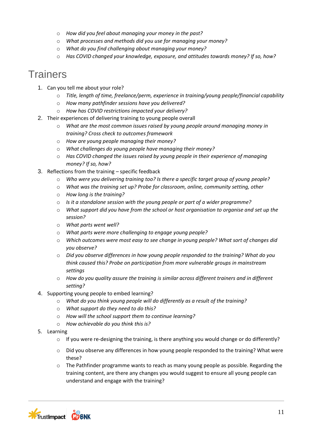- o *How did you feel about managing your money in the past?*
- o *What processes and methods did you use for managing your money?*
- o *What do you find challenging about managing your money?*
- o *Has COVID changed your knowledge, exposure, and attitudes towards money? If so, how?*

### **Trainers**

- 1. Can you tell me about your role?
	- o *Title, length of time, freelance/perm, experience in training/young people/financial capability*
	- o *How many pathfinder sessions have you delivered?*
	- o *How has COVID restrictions impacted your delivery?*
- 2. Their experiences of delivering training to young people overall
	- o *What are the most common issues raised by young people around managing money in training? Cross check to outcomes framework*
	- o *How are young people managing their money?*
	- o *What challenges do young people have managing their money?*
	- o *Has COVID changed the issues raised by young people in their experience of managing money? If so, how?*
- 3. Reflections from the training specific feedback
	- o *Who were you delivering training too? Is there a specific target group of young people?*
	- o *What was the training set up? Probe for classroom, online, community setting, other*
	- o *How long is the training?*
	- o *Is it a standalone session with the young people or part of a wider programme?*
	- o *What support did you have from the school or host organisation to organise and set up the session?*
	- o *What parts went well?*
	- o *What parts were more challenging to engage young people?*
	- o *Which outcomes were most easy to see change in young people? What sort of changes did you observe?*
	- o *Did you observe differences in how young people responded to the training? What do you think caused this? Probe on participation from more vulnerable groups in mainstream settings*
	- o *How do you quality assure the training is similar across different trainers and in different setting?*
- 4. Supporting young people to embed learning?
	- o *What do you think young people will do differently as a result of the training?*
	- o *What support do they need to do this?*
	- o *How will the school support them to continue learning?*
	- o *How achievable do you think this is?*
- 5. Learning
	- $\circ$  If you were re-designing the training, is there anything you would change or do differently?
	- o Did you observe any differences in how young people responded to the training? What were these?
	- o The Pathfinder programme wants to reach as many young people as possible. Regarding the training content, are there any changes you would suggest to ensure all young people can understand and engage with the training?

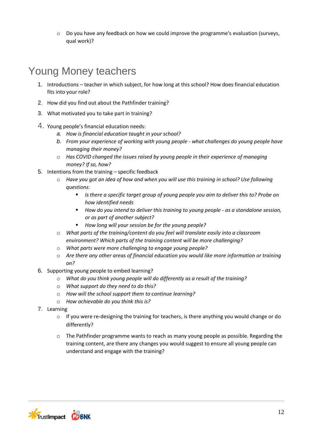$\circ$  Do you have any feedback on how we could improve the programme's evaluation (surveys, qual work)?

# Young Money teachers

- 1. Introductions teacher in which subject, for how long at this school? How does financial education fits into your role?
- 2. How did you find out about the Pathfinder training?
- 3. What motivated you to take part in training?
- 4. Young people's financial education needs:
	- *a. How is financial education taught in your school?*
	- *b. From your experience of working with young people - what challenges do young people have managing their money?*
	- o *Has COVID changed the issues raised by young people in their experience of managing money? If so, how?*
- 5. Intentions from the training specific feedback
	- o *Have you got an idea of how and when you will use this training in school? Use following questions:*
		- *Is there a specific target group of young people you aim to deliver this to? Probe on how identified needs*
		- *How do you intend to deliver this training to young people - as a standalone session, or as part of another subject?*
		- *How long will your session be for the young people?*
	- o *What parts of the training/content do you feel will translate easily into a classroom environment? Which parts of the training content will be more challenging?*
	- o *What parts were more challenging to engage young people?*
	- o *Are there any other areas of financial education you would like more information or training on?*
- 6. Supporting young people to embed learning?
	- o *What do you think young people will do differently as a result of the training?*
	- o *What support do they need to do this?*
	- o *How will the school support them to continue learning?*
	- o *How achievable do you think this is?*
- 7. Learning
	- $\circ$  If you were re-designing the training for teachers, is there anything you would change or do differently?
	- o The Pathfinder programme wants to reach as many young people as possible. Regarding the training content, are there any changes you would suggest to ensure all young people can understand and engage with the training?

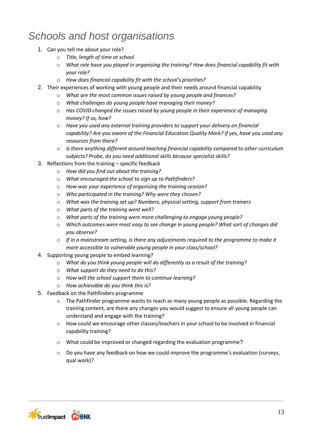# *Schools and host organisations*

- 1. Can you tell me about your role?
	- o *Title, length of time at school*
	- o *What role have you played in organising the training? How does financial capability fit with your role?*
	- o *How does financial capability fit with the school's priorities?*
- 2. Their experiences of working with young people and their needs around financial capability
	- o *What are the most common issues raised by young people and finances?*
	- o *What challenges do young people have managing their money?*
	- o *Has COVID changed the issues raised by young people in their experience of managing money? If so, how?*
	- o *Have you used any external training providers to support your delivery on financial capability? Are you aware of the Financial Education Quality Mark? If yes, have you used any resources from there?*
	- o *Is there anything different around teaching financial capability compared to other curriculum subjects? Probe, do you need additional skills because specialist skills?*
- 3. Reflections from the training specific feedback
	- o *How did you find out about the training?*
	- o *What encouraged the school to sign up to Pathfinders?*
	- o *How was your experience of organising the training session?*
	- o *Who participated in the training? Why were they chosen?*
	- o *What was the training set up? Numbers, physical setting, support from trainers*
	- o *What parts of the training went well?*
	- o *What parts of the training were more challenging to engage young people?*
	- o *Which outcomes were most easy to see change in young people? What sort of changes did you observe?*
	- o *If in a mainstream setting, is there any adjustments required to the programme to make it more accessible to vulnerable young people in your class/school?*
- 4. Supporting young people to embed learning?
	- o *What do you think young people will do differently as a result of the training?*
	- o *What support do they need to do this?*
	- o *How will the school support them to continue learning?*
	- o *How achievable do you think this is?*
- 5. Feedback on the Pathfinders programme
	- o The Pathfinder programme wants to reach as many young people as possible. Regarding the training content, are there any changes you would suggest to ensure all young people can understand and engage with the training?
	- o How could we encourage other classes/teachers in your school to be involved in financial capability training?
	- o What could be improved or changed regarding the evaluation programme?
	- o Do you have any feedback on how we could improve the programme's evaluation (surveys, qual work)?

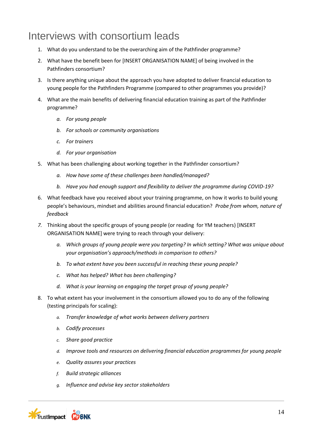### Interviews with consortium leads

- 1. What do you understand to be the overarching aim of the Pathfinder programme?
- 2. What have the benefit been for [INSERT ORGANISATION NAME] of being involved in the Pathfinders consortium?
- 3. Is there anything unique about the approach you have adopted to deliver financial education to young people for the Pathfinders Programme (compared to other programmes you provide)?
- 4. What are the main benefits of delivering financial education training as part of the Pathfinder programme?
	- *a. For young people*
	- *b. For schools or community organisations*
	- *c. For trainers*
	- *d. For your organisation*
- 5. What has been challenging about working together in the Pathfinder consortium?
	- *a. How have some of these challenges been handled/managed?*
	- *b. Have you had enough support and flexibility to deliver the programme during COVID-19?*
- 6. What feedback have you received about your training programme, on how it works to build young people's behaviours, mindset and abilities around financial education? *Probe from whom, nature of feedback*
- *7.* Thinking about the specific groups of young people (or reading for YM teachers) [INSERT ORGANISATION NAME] were trying to reach through your delivery:
	- *a. Which groups of young people were you targeting? In which setting? What was unique about your organisation's approach/methods in comparison to others?*
	- *b. To what extent have you been successful in reaching these young people?*
	- *c. What has helped? What has been challenging?*
	- *d. What is your learning on engaging the target group of young people?*
- 8. To what extent has your involvement in the consortium allowed you to do any of the following (testing principals for scaling):
	- *a. Transfer knowledge of what works between delivery partners*
	- *b. Codify processes*
	- *c. Share good practice*
	- *d. Improve tools and resources on delivering financial education programmes for young people*
	- *e. Quality assures your practices*
	- *f. Build strategic alliances*
	- *g. Influence and advise key sector stakeholders*

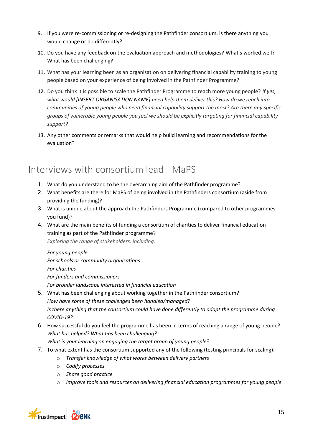- 9. If you were re-commissioning or re-designing the Pathfinder consortium, is there anything you would change or do differently?
- 10. Do you have any feedback on the evaluation approach and methodologies? What's worked well? What has been challenging?
- 11. What has your learning been as an organisation on delivering financial capability training to young people based on your experience of being involved in the Pathfinder Programme?
- 12. Do you think it is possible to scale the Pathfinder Programme to reach more young people? *If yes, what would [INSERT ORGANISATION NAME] need help them deliver this? How do we reach into communities of young people who need financial capability support the most? Are there any specific groups of vulnerable young people you feel we should be explicitly targeting for financial capability support?*
- 13. Any other comments or remarks that would help build learning and recommendations for the evaluation?

### Interviews with consortium lead - MaPS

- 1. What do you understand to be the overarching aim of the Pathfinder programme?
- 2. What benefits are there for MaPS of being involved in the Pathfinders consortium (aside from providing the funding)?
- 3. What is unique about the approach the Pathfinders Programme (compared to other programmes you fund)?
- 4. What are the main benefits of funding a consortium of charities to deliver financial education training as part of the Pathfinder programme?

*Exploring the range of stakeholders, including:*

#### *For young people*

*For schools or community organisations*

*For charities*

*For funders and commissioners*

*For broader landscape interested in financial education*

- 5. What has been challenging about working together in the Pathfinder consortium? *How have some of these challenges been handled/managed? Is there anything that the consortium could have done differently to adapt the programme during COVID-19?*
- 6. How successful do you feel the programme has been in terms of reaching a range of young people? *What has helped? What has been challenging?*

*What is your learning on engaging the target group of young people?*

- 7. To what extent has the consortium supported any of the following (testing principals for scaling):
	- o *Transfer knowledge of what works between delivery partners*
	- o *Codify processes*
	- o *Share good practice*
	- o *Improve tools and resources on delivering financial education programmes for young people*